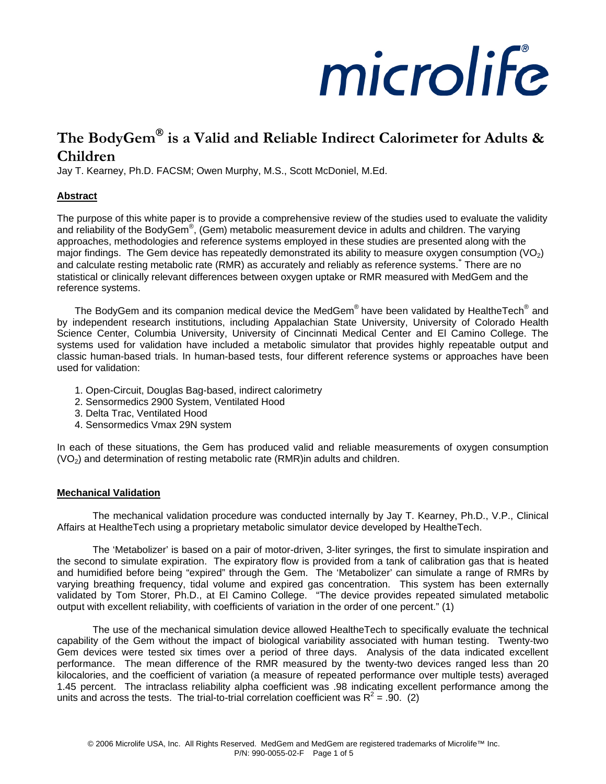# microlife

# **The BodyGem**® **is a Valid and Reliable Indirect Calorimeter for Adults & Children**

Jay T. Kearney, Ph.D. FACSM; Owen Murphy, M.S., Scott McDoniel, M.Ed.

# **Abstract**

The purpose of this white paper is to provide a comprehensive review of the studies used to evaluate the validity and reliability of the BodyGem®, (Gem) metabolic measurement device in adults and children. The varying approaches, methodologies and reference systems employed in these studies are presented along with the major findings. The Gem device has repeatedly demonstrated its ability to measure oxygen consumption  $(VO<sub>2</sub>)$ and calculate resting metabolic rate (RMR) as accurately and reliably as reference systems.\* There are no statistical or clinically relevant differences between oxygen uptake or RMR measured with MedGem and the reference systems.

The BodyGem and its companion medical device the MedGem® have been validated by HealtheTech® and by independent research institutions, including Appalachian State University, University of Colorado Health Science Center, Columbia University, University of Cincinnati Medical Center and El Camino College. The systems used for validation have included a metabolic simulator that provides highly repeatable output and classic human-based trials. In human-based tests, four different reference systems or approaches have been used for validation:

- 1. Open-Circuit, Douglas Bag-based, indirect calorimetry
- 2. Sensormedics 2900 System, Ventilated Hood
- 3. Delta Trac, Ventilated Hood
- 4. Sensormedics Vmax 29N system

In each of these situations, the Gem has produced valid and reliable measurements of oxygen consumption (VO2) and determination of resting metabolic rate (RMR)in adults and children.

## **Mechanical Validation**

The mechanical validation procedure was conducted internally by Jay T. Kearney, Ph.D., V.P., Clinical Affairs at HealtheTech using a proprietary metabolic simulator device developed by HealtheTech.

The 'Metabolizer' is based on a pair of motor-driven, 3-liter syringes, the first to simulate inspiration and the second to simulate expiration. The expiratory flow is provided from a tank of calibration gas that is heated and humidified before being "expired" through the Gem. The 'Metabolizer' can simulate a range of RMRs by varying breathing frequency, tidal volume and expired gas concentration. This system has been externally validated by Tom Storer, Ph.D., at El Camino College. "The device provides repeated simulated metabolic output with excellent reliability, with coefficients of variation in the order of one percent." (1)

The use of the mechanical simulation device allowed HealtheTech to specifically evaluate the technical capability of the Gem without the impact of biological variability associated with human testing. Twenty-two Gem devices were tested six times over a period of three days. Analysis of the data indicated excellent performance. The mean difference of the RMR measured by the twenty-two devices ranged less than 20 kilocalories, and the coefficient of variation (a measure of repeated performance over multiple tests) averaged 1.45 percent. The intraclass reliability alpha coefficient was .98 indicating excellent performance among the units and across the tests. The trial-to-trial correlation coefficient was  $R^2 = .90.$  (2)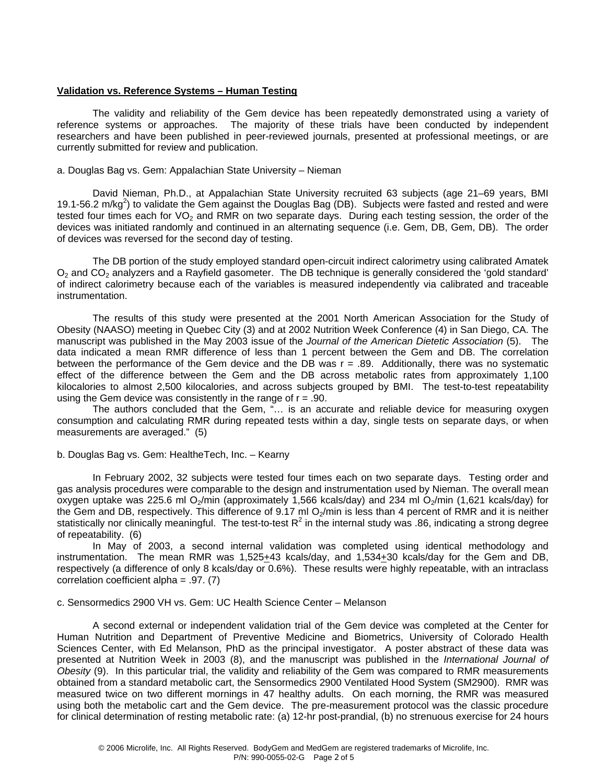#### **Validation vs. Reference Systems – Human Testing**

The validity and reliability of the Gem device has been repeatedly demonstrated using a variety of reference systems or approaches. The majority of these trials have been conducted by independent researchers and have been published in peer-reviewed journals, presented at professional meetings, or are currently submitted for review and publication.

#### a. Douglas Bag vs. Gem: Appalachian State University – Nieman

David Nieman, Ph.D., at Appalachian State University recruited 63 subjects (age 21–69 years, BMI 19.1-56.2 m/kg<sup>2</sup>) to validate the Gem against the Douglas Bag (DB). Subjects were fasted and rested and were tested four times each for  $VO<sub>2</sub>$  and RMR on two separate days. During each testing session, the order of the devices was initiated randomly and continued in an alternating sequence (i.e. Gem, DB, Gem, DB). The order of devices was reversed for the second day of testing.

The DB portion of the study employed standard open-circuit indirect calorimetry using calibrated Amatek  $O<sub>2</sub>$  and  $CO<sub>2</sub>$  analyzers and a Rayfield gasometer. The DB technique is generally considered the 'gold standard' of indirect calorimetry because each of the variables is measured independently via calibrated and traceable instrumentation.

The results of this study were presented at the 2001 North American Association for the Study of Obesity (NAASO) meeting in Quebec City (3) and at 2002 Nutrition Week Conference (4) in San Diego, CA. The manuscript was published in the May 2003 issue of the *Journal of the American Dietetic Association* (5). The data indicated a mean RMR difference of less than 1 percent between the Gem and DB. The correlation between the performance of the Gem device and the DB was  $r = .89$ . Additionally, there was no systematic effect of the difference between the Gem and the DB across metabolic rates from approximately 1,100 kilocalories to almost 2,500 kilocalories, and across subjects grouped by BMI. The test-to-test repeatability using the Gem device was consistently in the range of  $r = .90$ .

The authors concluded that the Gem, "… is an accurate and reliable device for measuring oxygen consumption and calculating RMR during repeated tests within a day, single tests on separate days, or when measurements are averaged." (5)

#### b. Douglas Bag vs. Gem: HealtheTech, Inc. – Kearny

In February 2002, 32 subjects were tested four times each on two separate days. Testing order and gas analysis procedures were comparable to the design and instrumentation used by Nieman. The overall mean oxygen uptake was 225.6 ml O<sub>2</sub>/min (approximately 1,566 kcals/day) and 234 ml O<sub>2</sub>/min (1,621 kcals/day) for the Gem and DB, respectively. This difference of 9.17 ml  $O_2$ /min is less than 4 percent of RMR and it is neither statistically nor clinically meaningful. The test-to-test R<sup>2</sup> in the internal study was .86, indicating a strong degree of repeatability. (6)

In May of 2003, a second internal validation was completed using identical methodology and instrumentation. The mean RMR was 1,525+43 kcals/day, and 1,534+30 kcals/day for the Gem and DB, respectively (a difference of only 8 kcals/day or 0.6%). These results were highly repeatable, with an intraclass correlation coefficient alpha = .97. (7)

#### c. Sensormedics 2900 VH vs. Gem: UC Health Science Center – Melanson

A second external or independent validation trial of the Gem device was completed at the Center for Human Nutrition and Department of Preventive Medicine and Biometrics, University of Colorado Health Sciences Center, with Ed Melanson, PhD as the principal investigator. A poster abstract of these data was presented at Nutrition Week in 2003 (8), and the manuscript was published in the *International Journal of Obesity* (9). In this particular trial, the validity and reliability of the Gem was compared to RMR measurements obtained from a standard metabolic cart, the Sensormedics 2900 Ventilated Hood System (SM2900). RMR was measured twice on two different mornings in 47 healthy adults. On each morning, the RMR was measured using both the metabolic cart and the Gem device. The pre-measurement protocol was the classic procedure for clinical determination of resting metabolic rate: (a) 12-hr post-prandial, (b) no strenuous exercise for 24 hours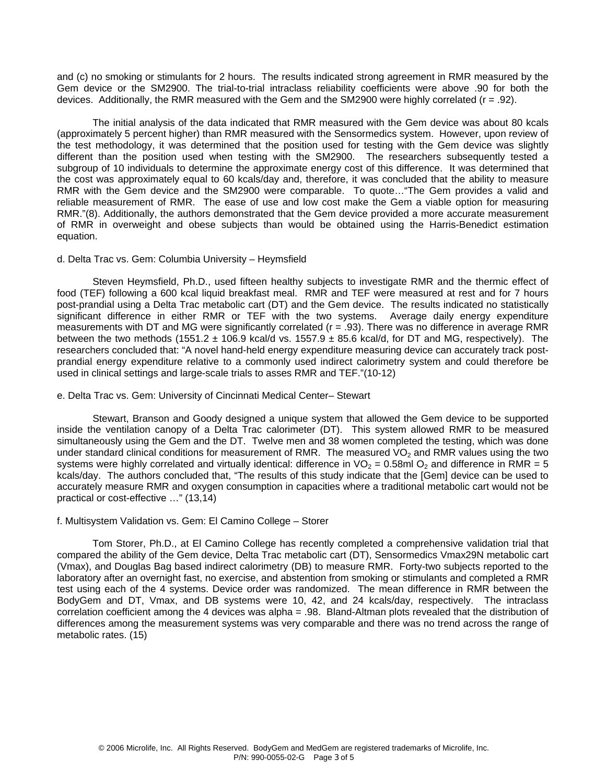and (c) no smoking or stimulants for 2 hours. The results indicated strong agreement in RMR measured by the Gem device or the SM2900. The trial-to-trial intraclass reliability coefficients were above .90 for both the devices. Additionally, the RMR measured with the Gem and the SM2900 were highly correlated ( $r = .92$ ).

The initial analysis of the data indicated that RMR measured with the Gem device was about 80 kcals (approximately 5 percent higher) than RMR measured with the Sensormedics system. However, upon review of the test methodology, it was determined that the position used for testing with the Gem device was slightly different than the position used when testing with the SM2900. The researchers subsequently tested a subgroup of 10 individuals to determine the approximate energy cost of this difference. It was determined that the cost was approximately equal to 60 kcals/day and, therefore, it was concluded that the ability to measure RMR with the Gem device and the SM2900 were comparable. To quote…"The Gem provides a valid and reliable measurement of RMR. The ease of use and low cost make the Gem a viable option for measuring RMR."(8). Additionally, the authors demonstrated that the Gem device provided a more accurate measurement of RMR in overweight and obese subjects than would be obtained using the Harris-Benedict estimation equation.

#### d. Delta Trac vs. Gem: Columbia University – Heymsfield

 Steven Heymsfield, Ph.D., used fifteen healthy subjects to investigate RMR and the thermic effect of food (TEF) following a 600 kcal liquid breakfast meal. RMR and TEF were measured at rest and for 7 hours post-prandial using a Delta Trac metabolic cart (DT) and the Gem device. The results indicated no statistically significant difference in either RMR or TEF with the two systems. Average daily energy expenditure measurements with DT and MG were significantly correlated ( $r = .93$ ). There was no difference in average RMR between the two methods (1551.2  $\pm$  106.9 kcal/d vs. 1557.9  $\pm$  85.6 kcal/d, for DT and MG, respectively). The researchers concluded that: "A novel hand-held energy expenditure measuring device can accurately track postprandial energy expenditure relative to a commonly used indirect calorimetry system and could therefore be used in clinical settings and large-scale trials to asses RMR and TEF."(10-12)

#### e. Delta Trac vs. Gem: University of Cincinnati Medical Center– Stewart

 Stewart, Branson and Goody designed a unique system that allowed the Gem device to be supported inside the ventilation canopy of a Delta Trac calorimeter (DT). This system allowed RMR to be measured simultaneously using the Gem and the DT. Twelve men and 38 women completed the testing, which was done under standard clinical conditions for measurement of RMR. The measured  $VO<sub>2</sub>$  and RMR values using the two systems were highly correlated and virtually identical: difference in  $VO<sub>2</sub> = 0.58$ ml O<sub>2</sub> and difference in RMR = 5 kcals/day. The authors concluded that, "The results of this study indicate that the [Gem] device can be used to accurately measure RMR and oxygen consumption in capacities where a traditional metabolic cart would not be practical or cost-effective …" (13,14)

## f. Multisystem Validation vs. Gem: El Camino College – Storer

 Tom Storer, Ph.D., at El Camino College has recently completed a comprehensive validation trial that compared the ability of the Gem device, Delta Trac metabolic cart (DT), Sensormedics Vmax29N metabolic cart (Vmax), and Douglas Bag based indirect calorimetry (DB) to measure RMR. Forty-two subjects reported to the laboratory after an overnight fast, no exercise, and abstention from smoking or stimulants and completed a RMR test using each of the 4 systems. Device order was randomized. The mean difference in RMR between the BodyGem and DT, Vmax, and DB systems were 10, 42, and 24 kcals/day, respectively. The intraclass correlation coefficient among the 4 devices was alpha = .98. Bland-Altman plots revealed that the distribution of differences among the measurement systems was very comparable and there was no trend across the range of metabolic rates. (15)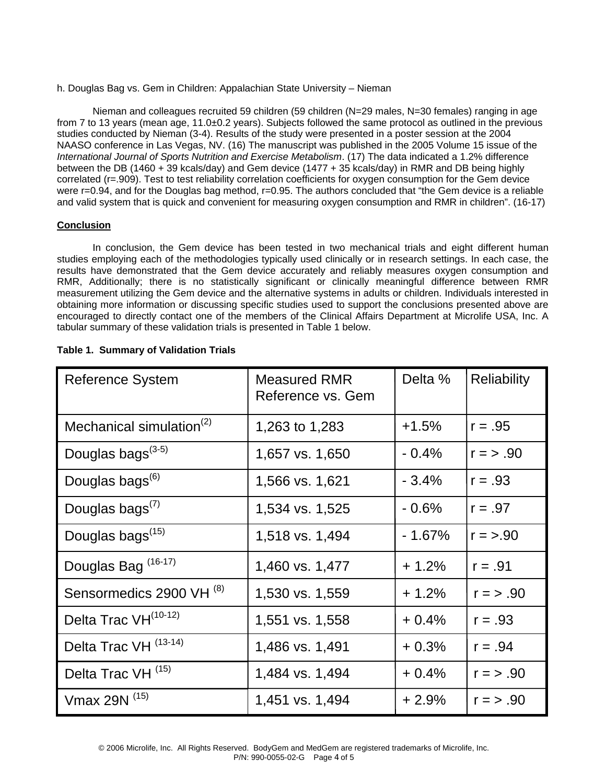h. Douglas Bag vs. Gem in Children: Appalachian State University – Nieman

Nieman and colleagues recruited 59 children (59 children (N=29 males, N=30 females) ranging in age from 7 to 13 years (mean age, 11.0±0.2 years). Subjects followed the same protocol as outlined in the previous studies conducted by Nieman (3-4). Results of the study were presented in a poster session at the 2004 NAASO conference in Las Vegas, NV. (16) The manuscript was published in the 2005 Volume 15 issue of the *International Journal of Sports Nutrition and Exercise Metabolism*. (17) The data indicated a 1.2% difference between the DB (1460 + 39 kcals/day) and Gem device (1477 + 35 kcals/day) in RMR and DB being highly correlated (r=.909). Test to test reliability correlation coefficients for oxygen consumption for the Gem device were r=0.94, and for the Douglas bag method, r=0.95. The authors concluded that "the Gem device is a reliable and valid system that is quick and convenient for measuring oxygen consumption and RMR in children". (16-17)

# **Conclusion**

In conclusion, the Gem device has been tested in two mechanical trials and eight different human studies employing each of the methodologies typically used clinically or in research settings. In each case, the results have demonstrated that the Gem device accurately and reliably measures oxygen consumption and RMR, Additionally; there is no statistically significant or clinically meaningful difference between RMR measurement utilizing the Gem device and the alternative systems in adults or children. Individuals interested in obtaining more information or discussing specific studies used to support the conclusions presented above are encouraged to directly contact one of the members of the Clinical Affairs Department at Microlife USA, Inc. A tabular summary of these validation trials is presented in Table 1 below.

| <b>Reference System</b>              | <b>Measured RMR</b><br>Reference vs. Gem | Delta %  | <b>Reliability</b> |
|--------------------------------------|------------------------------------------|----------|--------------------|
| Mechanical simulation <sup>(2)</sup> | 1,263 to 1,283                           | $+1.5%$  | $r = .95$          |
| Douglas bags <sup>(3-5)</sup>        | 1,657 vs. 1,650                          | $-0.4%$  | $r = > .90$        |
| Douglas bags <sup>(6)</sup>          | 1,566 vs. 1,621                          | $-3.4%$  | $r = .93$          |
| Douglas bags $^{(7)}$                | 1,534 vs. 1,525                          | $-0.6%$  | $r = .97$          |
| Douglas bags <sup>(15)</sup>         | 1,518 vs. 1,494                          | $-1.67%$ | $r = > .90$        |
| Douglas Bag <sup>(16-17)</sup>       | 1,460 vs. 1,477                          | $+1.2%$  | $r = .91$          |
| Sensormedics 2900 VH <sup>(8)</sup>  | 1,530 vs. 1,559                          | $+1.2%$  | $r = > .90$        |
| Delta Trac VH <sup>(10-12)</sup>     | 1,551 vs. 1,558                          | $+0.4%$  | $r = .93$          |
| Delta Trac VH <sup>(13-14)</sup>     | 1,486 vs. 1,491                          | $+0.3%$  | $r = .94$          |
| Delta Trac VH <sup>(15)</sup>        | 1,484 vs. 1,494                          | $+0.4%$  | $r = > .90$        |
| Vmax 29N (15)                        | 1,451 vs. 1,494                          | $+2.9%$  | $r = > .90$        |

# **Table 1. Summary of Validation Trials**